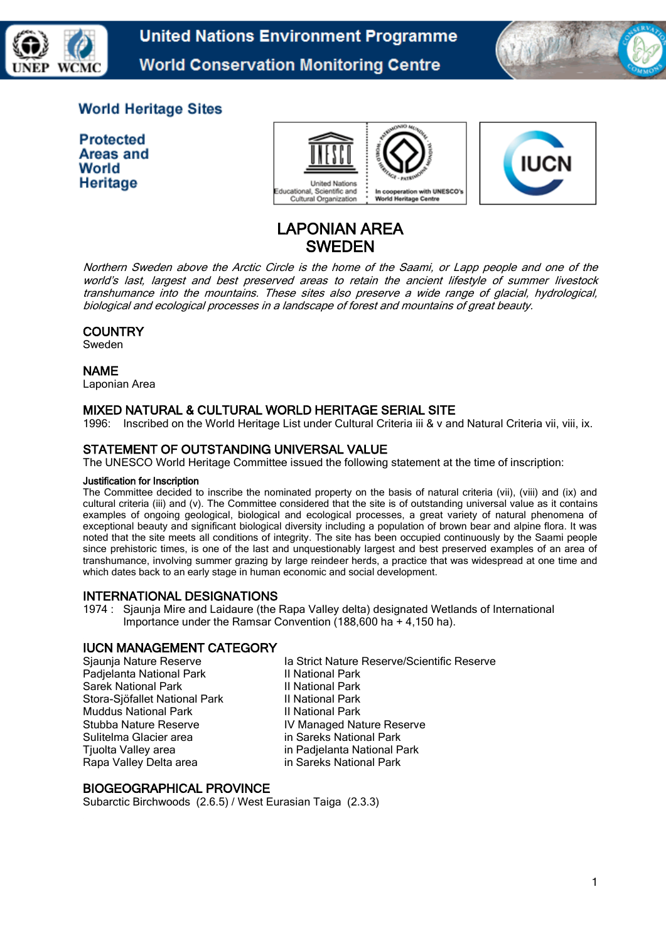

**United Nations Environment Programme World Conservation Monitoring Centre** 



# **World Heritage Sites**

**Protected** Areas and World Heritage





# LAPONIAN AREA SWEDEN

Northern Sweden above the Arctic Circle is the home of the Saami, or Lapp people and one of the world's last, largest and best preserved areas to retain the ancient lifestyle of summer livestock transhumance into the mountains. These sites also preserve a wide range of glacial, hydrological, biological and ecological processes in a landscape of forest and mountains of great beauty.

# **COUNTRY**

Sweden

#### NAME

Laponian Area

# MIXED NATURAL & CULTURAL WORLD HERITAGE SERIAL SITE

1996: Inscribed on the World Heritage List under Cultural Criteria iii & v and Natural Criteria vii, viii, ix.

## STATEMENT OF OUTSTANDING UNIVERSAL VALUE

The UNESCO World Heritage Committee issued the following statement at the time of inscription:

#### Justification for Inscription

The Committee decided to inscribe the nominated property on the basis of natural criteria (vii), (viii) and (ix) and cultural criteria (iii) and (v). The Committee considered that the site is of outstanding universal value as it contains examples of ongoing geological, biological and ecological processes, a great variety of natural phenomena of exceptional beauty and significant biological diversity including a population of brown bear and alpine flora. It was noted that the site meets all conditions of integrity. The site has been occupied continuously by the Saami people since prehistoric times, is one of the last and unquestionably largest and best preserved examples of an area of transhumance, involving summer grazing by large reindeer herds, a practice that was widespread at one time and which dates back to an early stage in human economic and social development.

## INTERNATIONAL DESIGNATIONS

1974 : Sjaunja Mire and Laidaure (the Rapa Valley delta) designated Wetlands of International Importance under the Ramsar Convention (188,600 ha + 4,150 ha).

## IUCN MANAGEMENT CATEGORY

Padjelanta National Park II National Park Sarek National Park **II National Park** Stora-Sjöfallet National Park II National Park Muddus National Park III National Park Sulitelma Glacier area in Sareks National Park Tjuolta Valley area in Padjelanta National Park Rapa Valley Delta area in Sareks National Park

Sjaunja Nature Reserve Ia Strict Nature Reserve/Scientific Reserve Stubba Nature Reserve IV Managed Nature Reserve

## BIOGEOGRAPHICAL PROVINCE

Subarctic Birchwoods (2.6.5) / West Eurasian Taiga (2.3.3)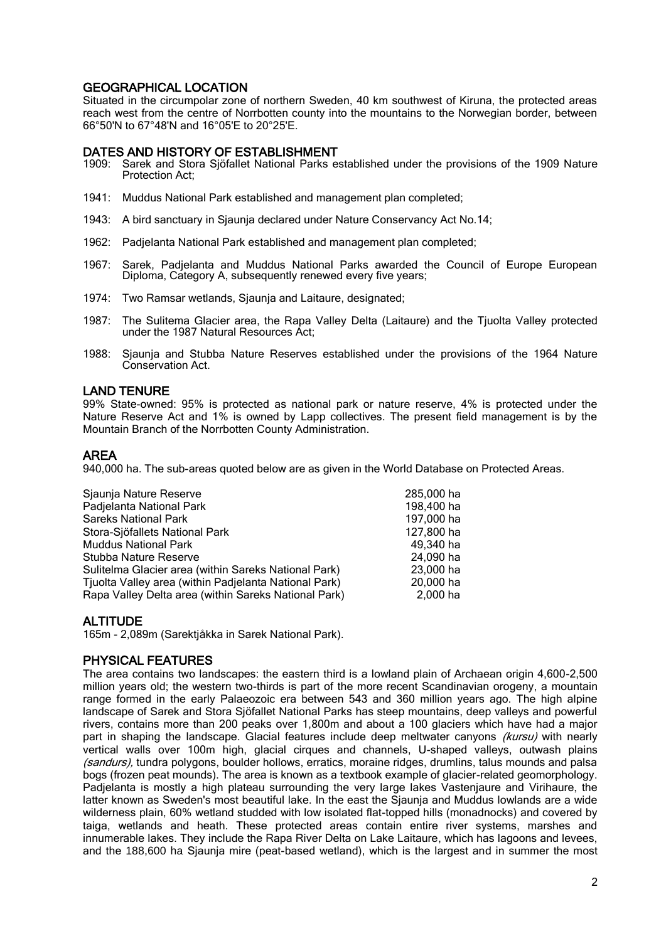# GEOGRAPHICAL LOCATION

Situated in the circumpolar zone of northern Sweden, 40 km southwest of Kiruna, the protected areas reach west from the centre of Norrbotten county into the mountains to the Norwegian border, between 66°50'N to 67°48'N and 16°05'E to 20°25'E.

# DATES AND HISTORY OF ESTABLISHMENT

- 1909: Sarek and Stora Sjöfallet National Parks established under the provisions of the 1909 Nature Protection Act;
- 1941: Muddus National Park established and management plan completed;
- 1943: A bird sanctuary in Sjaunja declared under Nature Conservancy Act No.14;
- 1962: Padjelanta National Park established and management plan completed;
- 1967: Sarek, Padjelanta and Muddus National Parks awarded the Council of Europe European Diploma, Category A, subsequently renewed every five years;
- 1974: Two Ramsar wetlands, Sjaunja and Laitaure, designated;
- 1987: The Sulitema Glacier area, the Rapa Valley Delta (Laitaure) and the Tjuolta Valley protected under the 1987 Natural Resources Act;
- 1988: Sjaunja and Stubba Nature Reserves established under the provisions of the 1964 Nature Conservation Act.

## LAND TENURE

99% State-owned: 95% is protected as national park or nature reserve, 4% is protected under the Nature Reserve Act and 1% is owned by Lapp collectives. The present field management is by the Mountain Branch of the Norrbotten County Administration.

## AREA

940,000 ha. The sub-areas quoted below are as given in the World Database on Protected Areas.

| Sjaunja Nature Reserve                                | 285,000 ha |
|-------------------------------------------------------|------------|
| Padjelanta National Park                              | 198,400 ha |
| <b>Sareks National Park</b>                           | 197,000 ha |
| Stora-Sjöfallets National Park                        | 127,800 ha |
| <b>Muddus National Park</b>                           | 49,340 ha  |
| Stubba Nature Reserve                                 | 24,090 ha  |
| Sulitelma Glacier area (within Sareks National Park)  | 23,000 ha  |
| Tjuolta Valley area (within Padjelanta National Park) | 20.000 ha  |
| Rapa Valley Delta area (within Sareks National Park)  | 2.000 ha   |
|                                                       |            |

## **ALTITUDE**

165m - 2,089m (Sarektjåkka in Sarek National Park).

## PHYSICAL FEATURES

The area contains two landscapes: the eastern third is a lowland plain of Archaean origin 4,600-2,500 million years old; the western two-thirds is part of the more recent Scandinavian orogeny, a mountain range formed in the early Palaeozoic era between 543 and 360 million years ago. The high alpine landscape of Sarek and Stora Sjöfallet National Parks has steep mountains, deep valleys and powerful rivers, contains more than 200 peaks over 1,800m and about a 100 glaciers which have had a major part in shaping the landscape. Glacial features include deep meltwater canyons *(kursu)* with nearly vertical walls over 100m high, glacial cirques and channels, U-shaped valleys, outwash plains (sandurs), tundra polygons, boulder hollows, erratics, moraine ridges, drumlins, talus mounds and palsa bogs (frozen peat mounds). The area is known as a textbook example of glacier-related geomorphology. Padjelanta is mostly a high plateau surrounding the very large lakes Vastenjaure and Virihaure, the latter known as Sweden's most beautiful lake. In the east the Sjaunja and Muddus lowlands are a wide wilderness plain, 60% wetland studded with low isolated flat-topped hills (monadnocks) and covered by taiga, wetlands and heath. These protected areas contain entire river systems, marshes and innumerable lakes. They include the Rapa River Delta on Lake Laitaure, which has lagoons and levees, and the 188,600 ha Sjaunja mire (peat-based wetland), which is the largest and in summer the most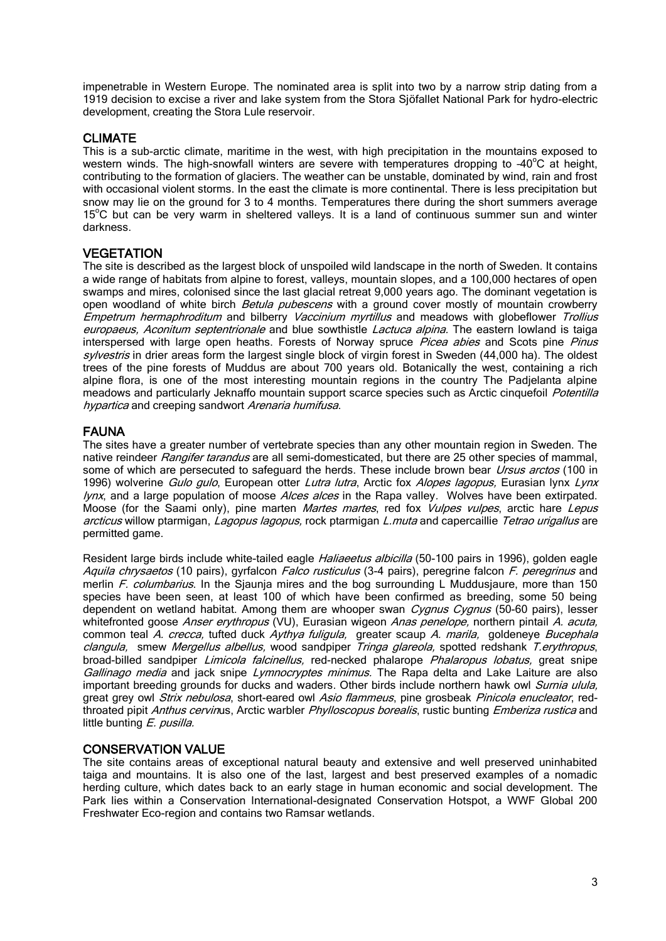impenetrable in Western Europe. The nominated area is split into two by a narrow strip dating from a 1919 decision to excise a river and lake system from the Stora Sjöfallet National Park for hydro-electric development, creating the Stora Lule reservoir.

## CLIMATE

This is a sub-arctic climate, maritime in the west, with high precipitation in the mountains exposed to western winds. The high-snowfall winters are severe with temperatures dropping to  $-40^{\circ}$ C at height, contributing to the formation of glaciers. The weather can be unstable, dominated by wind, rain and frost with occasional violent storms. In the east the climate is more continental. There is less precipitation but snow may lie on the ground for 3 to 4 months. Temperatures there during the short summers average 15<sup>°</sup>C but can be very warm in sheltered valleys. It is a land of continuous summer sun and winter darkness.

## **VEGETATION**

The site is described as the largest block of unspoiled wild landscape in the north of Sweden. It contains a wide range of habitats from alpine to forest, valleys, mountain slopes, and a 100,000 hectares of open swamps and mires, colonised since the last glacial retreat 9,000 years ago. The dominant vegetation is open woodland of white birch Betula pubescens with a ground cover mostly of mountain crowberry Empetrum hermaphroditum and bilberry Vaccinium myrtillus and meadows with globeflower Trollius europaeus, Aconitum septentrionale and blue sowthistle *Lactuca alpina*. The eastern lowland is taiga interspersed with large open heaths. Forests of Norway spruce *Picea abies* and Scots pine *Pinus* sylvestris in drier areas form the largest single block of virgin forest in Sweden (44,000 ha). The oldest trees of the pine forests of Muddus are about 700 years old. Botanically the west, containing a rich alpine flora, is one of the most interesting mountain regions in the country The Padjelanta alpine meadows and particularly Jeknaffo mountain support scarce species such as Arctic cinquefoil Potentilla hypartica and creeping sandwort Arenaria humifusa.

## FAUNA

The sites have a greater number of vertebrate species than any other mountain region in Sweden. The native reindeer Rangifer tarandus are all semi-domesticated, but there are 25 other species of mammal, some of which are persecuted to safeguard the herds. These include brown bear Ursus arctos (100 in 1996) wolverine Gulo gulo, European otter Lutra lutra, Arctic fox Alopes lagopus, Eurasian lynx Lynx lynx, and a large population of moose Alces alces in the Rapa valley. Wolves have been extirpated. Moose (for the Saami only), pine marten *Martes martes*, red fox *Vulpes vulpes*, arctic hare Lepus arcticus willow ptarmigan, Lagopus lagopus, rock ptarmigan L.muta and capercaillie Tetrao urigallus are permitted game.

Resident large birds include white-tailed eagle *Haliaeetus albicilla* (50-100 pairs in 1996), golden eagle Aquila chrysaetos (10 pairs), gyrfalcon *Falco rusticulus* (3-4 pairs), peregrine falcon *F. peregrinus* and merlin F. columbarius. In the Sjaunja mires and the bog surrounding L Muddusjaure, more than 150 species have been seen, at least 100 of which have been confirmed as breeding, some 50 being dependent on wetland habitat. Among them are whooper swan Cygnus Cygnus (50-60 pairs), lesser whitefronted goose Anser erythropus (VU), Eurasian wigeon Anas penelope, northern pintail A. acuta, common teal A. crecca, tufted duck Aythya fuligula, greater scaup A. marila, goldeneye Bucephala clangula, smew Mergellus albellus, wood sandpiper Tringa glareola, spotted redshank T.erythropus, broad-billed sandpiper Limicola falcinellus, red-necked phalarope Phalaropus lobatus, great snipe Gallinago media and jack snipe Lymnocryptes minimus. The Rapa delta and Lake Laiture are also important breeding grounds for ducks and waders. Other birds include northern hawk owl Surnia ulula, great grey owl Strix nebulosa, short-eared owl Asio flammeus, pine grosbeak Pinicola enucleator, redthroated pipit Anthus cervinus, Arctic warbler Phylloscopus borealis, rustic bunting Emberiza rustica and little bunting E. pusilla.

## CONSERVATION VALUE

The site contains areas of exceptional natural beauty and extensive and well preserved uninhabited taiga and mountains. It is also one of the last, largest and best preserved examples of a nomadic herding culture, which dates back to an early stage in human economic and social development. The Park lies within a Conservation International-designated Conservation Hotspot, a WWF Global 200 Freshwater Eco-region and contains two Ramsar wetlands.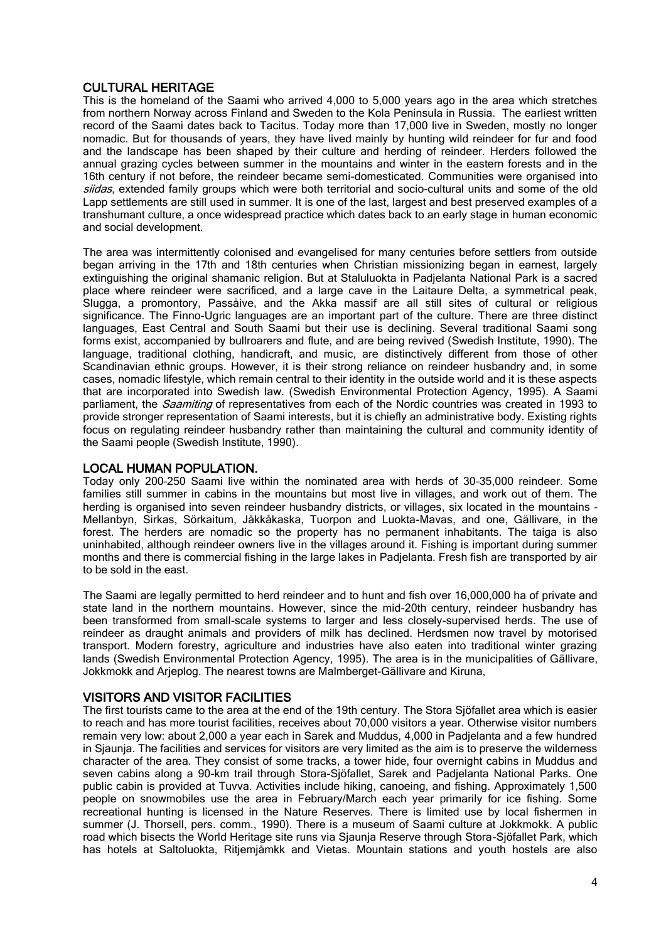## CULTURAL HERITAGE

This is the homeland of the Saami who arrived 4,000 to 5,000 years ago in the area which stretches from northern Norway across Finland and Sweden to the Kola Peninsula in Russia. The earliest written record of the Saami dates back to Tacitus. Today more than 17,000 live in Sweden, mostly no longer nomadic. But for thousands of years, they have lived mainly by hunting wild reindeer for fur and food and the landscape has been shaped by their culture and herding of reindeer. Herders followed the annual grazing cycles between summer in the mountains and winter in the eastern forests and in the 16th century if not before, the reindeer became semi-domesticated. Communities were organised into siidas, extended family groups which were both territorial and socio-cultural units and some of the old Lapp settlements are still used in summer. It is one of the last, largest and best preserved examples of a transhumant culture, a once widespread practice which dates back to an early stage in human economic and social development.

The area was intermittently colonised and evangelised for many centuries before settlers from outside began arriving in the 17th and 18th centuries when Christian missionizing began in earnest, largely extinguishing the original shamanic religion. But at Staluluokta in Padjelanta National Park is a sacred place where reindeer were sacrificed, and a large cave in the Laitaure Delta, a symmetrical peak, Slugga, a promontory, Passåive, and the Akka massif are all still sites of cultural or religious significance. The Finno-Ugric languages are an important part of the culture. There are three distinct languages, East Central and South Saami but their use is declining. Several traditional Saami song forms exist, accompanied by bullroarers and flute, and are being revived [\(Swedish Institute, 1990\)](http://www.iucn.org/bookstore/html-books/bp4%20-%20indigenous_and_traditional_peoples_and_protected_%20areas/#S1990). The language, traditional clothing, handicraft, and music, are distinctively different from those of other Scandinavian ethnic groups. However, it is their strong reliance on reindeer husbandry and, in some cases, nomadic lifestyle, which remain central to their identity in the outside world and it is these aspects that are incorporated into Swedish law. [\(Swedish Environmental Protection Agency, 1995\)](http://www.iucn.org/bookstore/html-books/bp4%20-%20indigenous_and_traditional_peoples_and_protected_%20areas/#S1995). A Saami parliament, the *Saamiting* of representatives from each of the Nordic countries was created in 1993 to provide stronger representation of Saami interests, but it is chiefly an administrative body. Existing rights focus on regulating reindeer husbandry rather than maintaining the cultural and community identity of the Saami people [\(Swedish Institute, 1990\)](http://www.iucn.org/bookstore/html-books/bp4%20-%20indigenous_and_traditional_peoples_and_protected_%20areas/#S1990).

## LOCAL HUMAN POPULATION.

Today only 200–250 Saami live within the nominated area with herds of 30–35,000 reindeer. Some families still summer in cabins in the mountains but most live in villages, and work out of them. The herding is organised into seven reindeer husbandry districts, or villages, six located in the mountains -Mellanbyn, Sirkas, Sörkaitum, Jåkkåkaska, Tuorpon and Luokta-Mavas, and one, Gällivare, in the forest. The herders are nomadic so the property has no permanent inhabitants. The taiga is also uninhabited, although reindeer owners live in the villages around it. Fishing is important during summer months and there is commercial fishing in the large lakes in Padjelanta. Fresh fish are transported by air to be sold in the east.

The Saami are legally permitted to herd reindeer and to hunt and fish over 16,000,000 ha of private and state land in the northern mountains. However, since the mid-20th century, reindeer husbandry has been transformed from small-scale systems to larger and less closely-supervised herds. The use of reindeer as draught animals and providers of milk has declined. Herdsmen now travel by motorised transport. Modern forestry, agriculture and industries have also eaten into traditional winter grazing lands [\(Swedish Environmental Protection Agency, 1995\)](http://www.iucn.org/bookstore/html-books/bp4%20-%20indigenous_and_traditional_peoples_and_protected_%20areas/#S1995). The area is in the municipalities of Gällivare, Jokkmokk and Arjeplog. The nearest towns are Malmberget-Gällivare and Kiruna,

## VISITORS AND VISITOR FACILITIES

The first tourists came to the area at the end of the 19th century. The Stora Sjöfallet area which is easier to reach and has more tourist facilities, receives about 70,000 visitors a year. Otherwise visitor numbers remain very low: about 2,000 a year each in Sarek and Muddus, 4,000 in Padjelanta and a few hundred in Sjaunja. The facilities and services for visitors are very limited as the aim is to preserve the wilderness character of the area. They consist of some tracks, a tower hide, four overnight cabins in Muddus and seven cabins along a 90-km trail through Stora-Sjöfallet, Sarek and Padjelanta National Parks. One public cabin is provided at Tuvva. Activities include hiking, canoeing, and fishing. Approximately 1,500 people on snowmobiles use the area in February/March each year primarily for ice fishing. Some recreational hunting is licensed in the Nature Reserves. There is limited use by local fishermen in summer (J. Thorsell, pers. comm., 1990). There is a museum of Saami culture at Jokkmokk. A public road which bisects the World Heritage site runs via Sjaunja Reserve through Stora-Sjöfallet Park, which has hotels at Saltoluokta, Ritjemjåmkk and Vietas. Mountain stations and youth hostels are also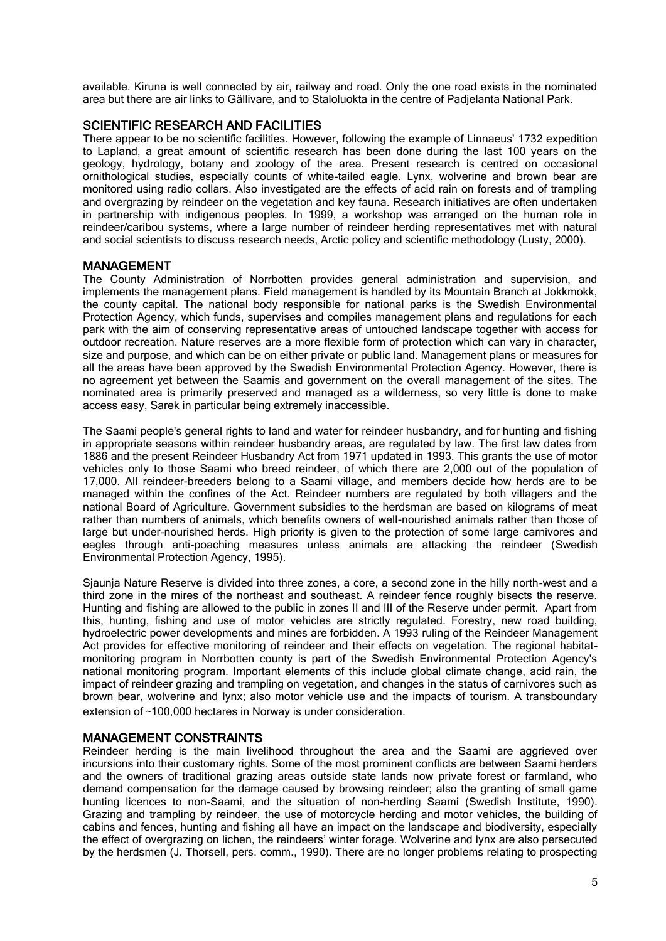available. Kiruna is well connected by air, railway and road. Only the one road exists in the nominated area but there are air links to Gällivare, and to Staloluokta in the centre of Padjelanta National Park.

#### SCIENTIFIC RESEARCH AND FACILITIES

There appear to be no scientific facilities. However, following the example of Linnaeus' 1732 expedition to Lapland, a great amount of scientific research has been done during the last 100 years on the geology, hydrology, botany and zoology of the area. Present research is centred on occasional ornithological studies, especially counts of white-tailed eagle. Lynx, wolverine and brown bear are monitored using radio collars. Also investigated are the effects of acid rain on forests and of trampling and overgrazing by reindeer on the vegetation and key fauna. Research initiatives are often undertaken in partnership with indigenous peoples. In 1999, a workshop was arranged on the human role in reindeer/caribou systems, where a large number of reindeer herding representatives met with natural and social scientists to discuss research needs, Arctic policy and scientific methodology (Lusty, 2000).

#### MANAGEMENT

The County Administration of Norrbotten provides general administration and supervision, and implements the management plans. Field management is handled by its Mountain Branch at Jokkmokk, the county capital. The national body responsible for national parks is the Swedish Environmental Protection Agency, which funds, supervises and compiles management plans and regulations for each park with the aim of conserving representative areas of untouched landscape together with access for outdoor recreation. Nature reserves are a more flexible form of protection which can vary in character, size and purpose, and which can be on either private or public land. Management plans or measures for all the areas have been approved by the Swedish Environmental Protection Agency. However, there is no agreement yet between the Saamis and government on the overall management of the sites. The nominated area is primarily preserved and managed as a wilderness, so very little is done to make access easy, Sarek in particular being extremely inaccessible.

The Saami people's general rights to land and water for reindeer husbandry, and for hunting and fishing in appropriate seasons within reindeer husbandry areas, are regulated by law. The first law dates from 1886 and the present Reindeer Husbandry Act from 1971 updated in 1993. This grants the use of motor vehicles only to those Saami who breed reindeer, of which there are 2,000 out of the population of 17,000. All reindeer-breeders belong to a Saami village, and members decide how herds are to be managed within the confines of the Act. Reindeer numbers are regulated by both villagers and the national Board of Agriculture. Government subsidies to the herdsman are based on kilograms of meat rather than numbers of animals, which benefits owners of well-nourished animals rather than those of large but under-nourished herds. High priority is given to the protection of some large carnivores and eagles through anti-poaching measures unless animals are attacking the reindeer [\(Swedish](http://www.iucn.org/bookstore/html-books/bp4%20-%20indigenous_and_traditional_peoples_and_protected_%20areas/#S1995)  [Environmental Protection Agency, 1995\)](http://www.iucn.org/bookstore/html-books/bp4%20-%20indigenous_and_traditional_peoples_and_protected_%20areas/#S1995).

Sjaunja Nature Reserve is divided into three zones, a core, a second zone in the hilly north-west and a third zone in the mires of the northeast and southeast. A reindeer fence roughly bisects the reserve. Hunting and fishing are allowed to the public in zones II and III of the Reserve under permit. Apart from this, hunting, fishing and use of motor vehicles are strictly regulated. Forestry, new road building, hydroelectric power developments and mines are forbidden. A 1993 ruling of the Reindeer Management Act provides for effective monitoring of reindeer and their effects on vegetation. The regional habitatmonitoring program in Norrbotten county is part of the Swedish Environmental Protection Agency's national monitoring program. Important elements of this include global climate change, acid rain, the impact of reindeer grazing and trampling on vegetation, and changes in the status of carnivores such as brown bear, wolverine and lynx; also motor vehicle use and the impacts of tourism. A transboundary extension of ~100,000 hectares in Norway is under consideration.

#### MANAGEMENT CONSTRAINTS

Reindeer herding is the main livelihood throughout the area and the Saami are aggrieved over incursions into their customary rights. Some of the most prominent conflicts are between Saami herders and the owners of traditional grazing areas outside state lands now private forest or farmland, who demand compensation for the damage caused by browsing reindeer; also the granting of small game hunting licences to non-Saami, and the situation of non-herding Saami [\(Swedish Institute, 1990\)](http://www.iucn.org/bookstore/html-books/bp4%20-%20indigenous_and_traditional_peoples_and_protected_%20areas/#S1990). Grazing and trampling by reindeer, the use of motorcycle herding and motor vehicles, the building of cabins and fences, hunting and fishing all have an impact on the landscape and biodiversity, especially the effect of overgrazing on lichen, the reindeers' winter forage. Wolverine and lynx are also persecuted by the herdsmen (J. Thorsell, pers. comm., 1990). There are no longer problems relating to prospecting